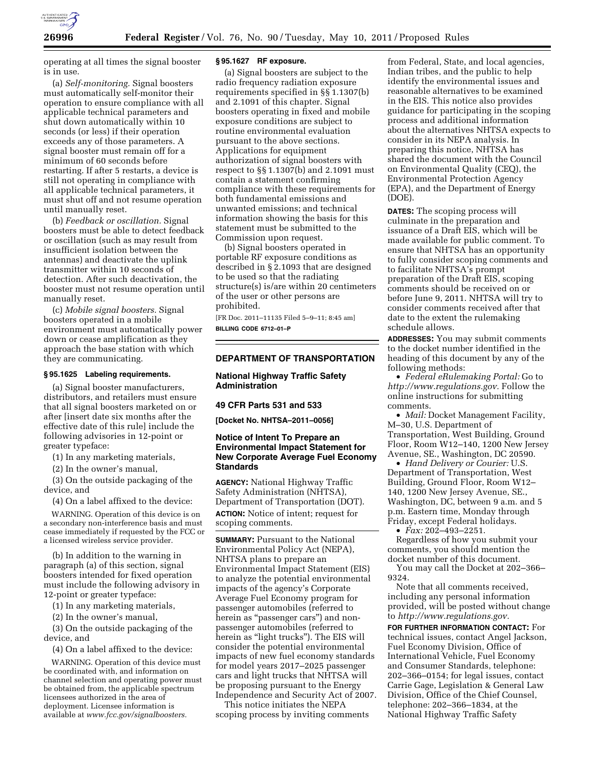

operating at all times the signal booster is in use.

(a) *Self-monitoring.* Signal boosters must automatically self-monitor their operation to ensure compliance with all applicable technical parameters and shut down automatically within 10 seconds (or less) if their operation exceeds any of those parameters. A signal booster must remain off for a minimum of 60 seconds before restarting. If after 5 restarts, a device is still not operating in compliance with all applicable technical parameters, it must shut off and not resume operation until manually reset.

(b) *Feedback or oscillation.* Signal boosters must be able to detect feedback or oscillation (such as may result from insufficient isolation between the antennas) and deactivate the uplink transmitter within 10 seconds of detection. After such deactivation, the booster must not resume operation until manually reset.

(c) *Mobile signal boosters.* Signal boosters operated in a mobile environment must automatically power down or cease amplification as they approach the base station with which they are communicating.

## **§ 95.1625 Labeling requirements.**

(a) Signal booster manufacturers, distributors, and retailers must ensure that all signal boosters marketed on or after [insert date six months after the effective date of this rule] include the following advisories in 12-point or greater typeface:

(1) In any marketing materials,

(2) In the owner's manual,

(3) On the outside packaging of the device, and

(4) On a label affixed to the device:

WARNING. Operation of this device is on a secondary non-interference basis and must cease immediately if requested by the FCC or a licensed wireless service provider.

(b) In addition to the warning in paragraph (a) of this section, signal boosters intended for fixed operation must include the following advisory in 12-point or greater typeface:

(1) In any marketing materials,

(2) In the owner's manual,

(3) On the outside packaging of the device, and

(4) On a label affixed to the device:

WARNING. Operation of this device must be coordinated with, and information on channel selection and operating power must be obtained from, the applicable spectrum licensees authorized in the area of deployment. Licensee information is available at *[www.fcc.gov/signalboosters.](http://www.fcc.gov/signalboosters)* 

## **§ 95.1627 RF exposure.**

(a) Signal boosters are subject to the radio frequency radiation exposure requirements specified in §§ 1.1307(b) and 2.1091 of this chapter. Signal boosters operating in fixed and mobile exposure conditions are subject to routine environmental evaluation pursuant to the above sections. Applications for equipment authorization of signal boosters with respect to §§ 1.1307(b) and 2.1091 must contain a statement confirming compliance with these requirements for both fundamental emissions and unwanted emissions; and technical information showing the basis for this statement must be submitted to the Commission upon request.

(b) Signal boosters operated in portable RF exposure conditions as described in § 2.1093 that are designed to be used so that the radiating structure(s) is/are within 20 centimeters of the user or other persons are prohibited.

[FR Doc. 2011–11135 Filed 5–9–11; 8:45 am] **BILLING CODE 6712–01–P** 

# **DEPARTMENT OF TRANSPORTATION**

## **National Highway Traffic Safety Administration**

## **49 CFR Parts 531 and 533**

**[Docket No. NHTSA–2011–0056]** 

# **Notice of Intent To Prepare an Environmental Impact Statement for New Corporate Average Fuel Economy Standards**

**AGENCY:** National Highway Traffic Safety Administration (NHTSA), Department of Transportation (DOT). **ACTION:** Notice of intent; request for scoping comments.

**SUMMARY: Pursuant to the National** Environmental Policy Act (NEPA), NHTSA plans to prepare an Environmental Impact Statement (EIS) to analyze the potential environmental impacts of the agency's Corporate Average Fuel Economy program for passenger automobiles (referred to herein as "passenger cars") and nonpassenger automobiles (referred to herein as "light trucks"). The EIS will consider the potential environmental impacts of new fuel economy standards for model years 2017–2025 passenger cars and light trucks that NHTSA will be proposing pursuant to the Energy Independence and Security Act of 2007.

This notice initiates the NEPA scoping process by inviting comments

from Federal, State, and local agencies, Indian tribes, and the public to help identify the environmental issues and reasonable alternatives to be examined in the EIS. This notice also provides guidance for participating in the scoping process and additional information about the alternatives NHTSA expects to consider in its NEPA analysis. In preparing this notice, NHTSA has shared the document with the Council on Environmental Quality (CEQ), the Environmental Protection Agency (EPA), and the Department of Energy (DOE).

**DATES:** The scoping process will culminate in the preparation and issuance of a Draft EIS, which will be made available for public comment. To ensure that NHTSA has an opportunity to fully consider scoping comments and to facilitate NHTSA's prompt preparation of the Draft EIS, scoping comments should be received on or before June 9, 2011. NHTSA will try to consider comments received after that date to the extent the rulemaking schedule allows.

**ADDRESSES:** You may submit comments to the docket number identified in the heading of this document by any of the following methods:

• *Federal eRulemaking Portal:* Go to *[http://www.regulations.gov.](http://www.regulations.gov)* Follow the online instructions for submitting comments.

• *Mail:* Docket Management Facility, M–30, U.S. Department of Transportation, West Building, Ground Floor, Room W12–140, 1200 New Jersey Avenue, SE., Washington, DC 20590.

• *Hand Delivery or Courier:* U.S. Department of Transportation, West Building, Ground Floor, Room W12– 140, 1200 New Jersey Avenue, SE., Washington, DC, between 9 a.m. and 5 p.m. Eastern time, Monday through Friday, except Federal holidays.

• *Fax:* 202–493–2251.

Regardless of how you submit your comments, you should mention the docket number of this document.

You may call the Docket at 202–366– 9324.

Note that all comments received, including any personal information provided, will be posted without change to *[http://www.regulations.gov.](http://www.regulations.gov)* 

**FOR FURTHER INFORMATION CONTACT:** For technical issues, contact Angel Jackson, Fuel Economy Division, Office of International Vehicle, Fuel Economy and Consumer Standards, telephone: 202–366–0154; for legal issues, contact Carrie Gage, Legislation & General Law Division, Office of the Chief Counsel, telephone: 202–366–1834, at the National Highway Traffic Safety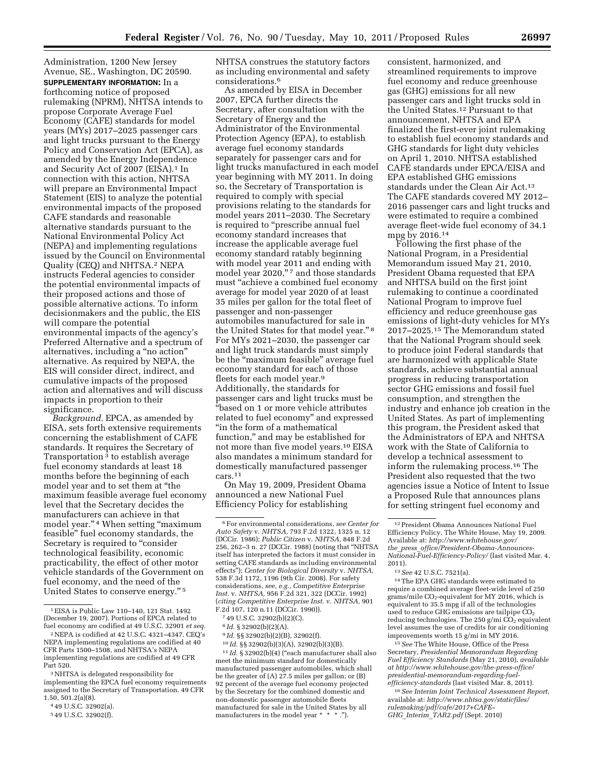Administration, 1200 New Jersey Avenue, SE., Washington, DC 20590. **SUPPLEMENTARY INFORMATION:** In a forthcoming notice of proposed rulemaking (NPRM), NHTSA intends to propose Corporate Average Fuel Economy (CAFE) standards for model years (MYs) 2017–2025 passenger cars and light trucks pursuant to the Energy Policy and Conservation Act (EPCA), as amended by the Energy Independence and Security Act of 2007 (EISA).<sup>1</sup> In connection with this action, NHTSA will prepare an Environmental Impact Statement (EIS) to analyze the potential environmental impacts of the proposed CAFE standards and reasonable alternative standards pursuant to the National Environmental Policy Act (NEPA) and implementing regulations issued by the Council on Environmental Quality (CEQ) and NHTSA.2 NEPA instructs Federal agencies to consider the potential environmental impacts of their proposed actions and those of possible alternative actions. To inform decisionmakers and the public, the EIS will compare the potential environmental impacts of the agency's Preferred Alternative and a spectrum of alternatives, including a ''no action'' alternative. As required by NEPA, the EIS will consider direct, indirect, and cumulative impacts of the proposed action and alternatives and will discuss impacts in proportion to their significance.

*Background.* EPCA, as amended by EISA, sets forth extensive requirements concerning the establishment of CAFE standards. It requires the Secretary of Transportation 3 to establish average fuel economy standards at least 18 months before the beginning of each model year and to set them at ''the maximum feasible average fuel economy level that the Secretary decides the manufacturers can achieve in that model year."<sup>4</sup> When setting "maximum feasible'' fuel economy standards, the Secretary is required to "consider technological feasibility, economic practicability, the effect of other motor vehicle standards of the Government on fuel economy, and the need of the United States to conserve energy.'' 5

NHTSA construes the statutory factors as including environmental and safety considerations.6

As amended by EISA in December 2007, EPCA further directs the Secretary, after consultation with the Secretary of Energy and the Administrator of the Environmental Protection Agency (EPA), to establish average fuel economy standards separately for passenger cars and for light trucks manufactured in each model year beginning with MY 2011. In doing so, the Secretary of Transportation is required to comply with special provisions relating to the standards for model years 2011–2030. The Secretary is required to "prescribe annual fuel economy standard increases that increase the applicable average fuel economy standard ratably beginning with model year 2011 and ending with model year 2020,"7 and those standards must "achieve a combined fuel economy average for model year 2020 of at least 35 miles per gallon for the total fleet of passenger and non-passenger automobiles manufactured for sale in the United States for that model year."<sup>8</sup> For MYs 2021–2030, the passenger car and light truck standards must simply be the "maximum feasible" average fuel economy standard for each of those fleets for each model year.9 Additionally, the standards for passenger cars and light trucks must be ''based on 1 or more vehicle attributes related to fuel economy'' and expressed "in the form of a mathematical function,'' and may be established for not more than five model years.10 EISA also mandates a minimum standard for domestically manufactured passenger cars.11

On May 19, 2009, President Obama announced a new National Fuel Efficiency Policy for establishing

7 49 U.S.C. 32902(b)(2)(C).

9 *Id.* §§ 32902(b)(2)(B), 32902(f).

10 *Id.* §§ 32902(b)(3)(A), 32902(b)(3)(B).

<sup>11</sup> *Id.* § 32902(b)(4) ("each manufacturer shall also meet the minimum standard for domestically manufactured passenger automobiles, which shall be the greater of (A) 27.5 miles per gallon; or (B) 92 percent of the average fuel economy projected by the Secretary for the combined domestic and non-domestic passenger automobile fleets manufactured for sale in the United States by all manufacturers in the model year \* \* \* .").

consistent, harmonized, and streamlined requirements to improve fuel economy and reduce greenhouse gas (GHG) emissions for all new passenger cars and light trucks sold in the United States.12 Pursuant to that announcement, NHTSA and EPA finalized the first-ever joint rulemaking to establish fuel economy standards and GHG standards for light duty vehicles on April 1, 2010. NHTSA established CAFE standards under EPCA/EISA and EPA established GHG emissions standards under the Clean Air Act.13 The CAFE standards covered MY 2012– 2016 passenger cars and light trucks and were estimated to require a combined average fleet-wide fuel economy of 34.1 mpg by 2016.14

Following the first phase of the National Program, in a Presidential Memorandum issued May 21, 2010, President Obama requested that EPA and NHTSA build on the first joint rulemaking to continue a coordinated National Program to improve fuel efficiency and reduce greenhouse gas emissions of light-duty vehicles for MYs 2017–2025.15 The Memorandum stated that the National Program should seek to produce joint Federal standards that are harmonized with applicable State standards, achieve substantial annual progress in reducing transportation sector GHG emissions and fossil fuel consumption, and strengthen the industry and enhance job creation in the United States. As part of implementing this program, the President asked that the Administrators of EPA and NHTSA work with the State of California to develop a technical assessment to inform the rulemaking process.16 The President also requested that the two agencies issue a Notice of Intent to Issue a Proposed Rule that announces plans for setting stringent fuel economy and

14The EPA GHG standards were estimated to require a combined average fleet-wide level of 250 grams/mile CO2-equivalent for MY 2016, which is equivalent to 35.5 mpg if all of the technologies used to reduce GHG emissions are tailpipe CO<sub>2</sub> reducing technologies. The 250 g/mi  $CO<sub>2</sub>$  equivalent level assumes the use of credits for air conditioning improvements worth 15 g/mi in MY 2016.

15*See* The White House, Office of the Press Secretary, *Presidential Memorandum Regarding Fuel Efficiency Standards* (May 21, 2010), *available at [http://www.whitehouse.gov/the-press-office/](http://www.whitehouse.gov/the-press-office/presidential-memorandum-regarding-fuel-efficiency-standards)  [presidential-memorandum-regarding-fuel](http://www.whitehouse.gov/the-press-office/presidential-memorandum-regarding-fuel-efficiency-standards)[efficiency-standards](http://www.whitehouse.gov/the-press-office/presidential-memorandum-regarding-fuel-efficiency-standards)* (last visited Mar. 8, 2011).

16*See Interim Joint Technical Assessment Report,*  available at: *[http://www.nhtsa.gov/staticfiles/](http://www.nhtsa.gov/staticfiles/rulemaking/pdf/cafe/2017+CAFE-GHG_Interim_TAR2.pdf)  [rulemaking/pdf/cafe/2017+CAFE–](http://www.nhtsa.gov/staticfiles/rulemaking/pdf/cafe/2017+CAFE-GHG_Interim_TAR2.pdf)  GHG*\_*Interim*\_*[TAR2.pdf](http://www.nhtsa.gov/staticfiles/rulemaking/pdf/cafe/2017+CAFE-GHG_Interim_TAR2.pdf)* (Sept. 2010)

<sup>1</sup>EISA is Public Law 110–140, 121 Stat. 1492 (December 19, 2007). Portions of EPCA related to fuel economy are codified at 49 U.S.C. 32901 *et seq.* 

<sup>2</sup>NEPA is codified at 42 U.S.C. 4321–4347. CEQ's NEPA implementing regulations are codified at 40 CFR Parts 1500–1508, and NHTSA's NEPA implementing regulations are codified at 49 CFR Part 520.

<sup>3</sup>NHTSA is delegated responsibility for implementing the EPCA fuel economy requirements assigned to the Secretary of Transportation. 49 CFR 1.50, 501.2(a)(8).

<sup>4</sup> 49 U.S.C. 32902(a).

<sup>5</sup> 49 U.S.C. 32902(f).

<sup>6</sup>For environmental considerations, *see Center for Auto Safety* v. *NHTSA,* 793 F.2d 1322, 1325 n. 12 (DCCir. 1986); *Public Citizen* v. *NHTSA,* 848 F.2d 256, 262–3 n. 27 (DCCir. 1988) (noting that ''NHTSA itself has interpreted the factors it must consider in setting CAFE standards as including environmental effects''); *Center for Biological Diversity* v. *NHTSA,*  538 F.3d 1172, 1196 (9th Cir. 2008). For safety considerations, *see, e.g., Competitive Enterprise Inst.* v. *NHTSA,* 956 F.2d 321, 322 (DCCir. 1992) (*citing Competitive Enterprise Inst.* v. *NHTSA,* 901 F.2d 107, 120 n.11 (DCCir. 1990)).

<sup>8</sup> *Id.* § 32902(b)(2)(A).

<sup>12</sup>President Obama Announces National Fuel Efficiency Policy, The White House, May 19, 2009. Available at: *[http://www.whitehouse.gov/](http://www.whitehouse.gov/the_press_office/President-Obama-Announces-National-Fuel-Efficiency-Policy/) the*\_*press*\_*[office/President-Obama-Announces-](http://www.whitehouse.gov/the_press_office/President-Obama-Announces-National-Fuel-Efficiency-Policy/)[National-Fuel-Efficiency-Policy/](http://www.whitehouse.gov/the_press_office/President-Obama-Announces-National-Fuel-Efficiency-Policy/)* (last visited Mar. 4, 2011).

<sup>13</sup>*See* 42 U.S.C. 7521(a).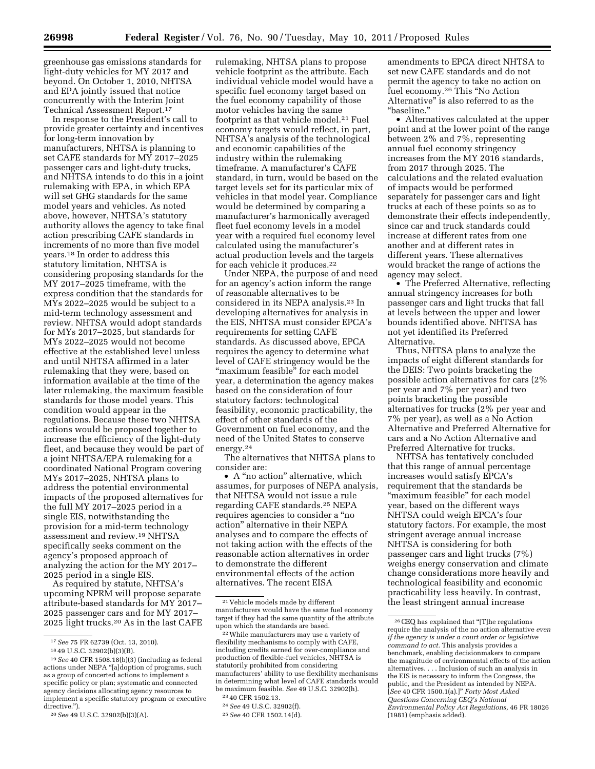greenhouse gas emissions standards for light-duty vehicles for MY 2017 and beyond. On October 1, 2010, NHTSA and EPA jointly issued that notice concurrently with the Interim Joint Technical Assessment Report.17

In response to the President's call to provide greater certainty and incentives for long-term innovation by manufacturers, NHTSA is planning to set CAFE standards for MY 2017–2025 passenger cars and light-duty trucks, and NHTSA intends to do this in a joint rulemaking with EPA, in which EPA will set GHG standards for the same model years and vehicles. As noted above, however, NHTSA's statutory authority allows the agency to take final action prescribing CAFE standards in increments of no more than five model years.18 In order to address this statutory limitation, NHTSA is considering proposing standards for the MY 2017–2025 timeframe, with the express condition that the standards for  $M\bar{Y}s$  2022–2025 would be subject to a mid-term technology assessment and review. NHTSA would adopt standards for MYs 2017–2025, but standards for MYs 2022–2025 would not become effective at the established level unless and until NHTSA affirmed in a later rulemaking that they were, based on information available at the time of the later rulemaking, the maximum feasible standards for those model years. This condition would appear in the regulations. Because these two NHTSA actions would be proposed together to increase the efficiency of the light-duty fleet, and because they would be part of a joint NHTSA/EPA rulemaking for a coordinated National Program covering MYs 2017–2025, NHTSA plans to address the potential environmental impacts of the proposed alternatives for the full MY 2017–2025 period in a single EIS, notwithstanding the provision for a mid-term technology assessment and review.19 NHTSA specifically seeks comment on the agency's proposed approach of analyzing the action for the MY 2017– 2025 period in a single EIS.

As required by statute, NHTSA's upcoming NPRM will propose separate attribute-based standards for MY 2017– 2025 passenger cars and for MY 2017– 2025 light trucks.20 As in the last CAFE rulemaking, NHTSA plans to propose vehicle footprint as the attribute. Each individual vehicle model would have a specific fuel economy target based on the fuel economy capability of those motor vehicles having the same footprint as that vehicle model.21 Fuel economy targets would reflect, in part, NHTSA's analysis of the technological and economic capabilities of the industry within the rulemaking timeframe. A manufacturer's CAFE standard, in turn, would be based on the target levels set for its particular mix of vehicles in that model year. Compliance would be determined by comparing a manufacturer's harmonically averaged fleet fuel economy levels in a model year with a required fuel economy level calculated using the manufacturer's actual production levels and the targets for each vehicle it produces.22

Under NEPA, the purpose of and need for an agency's action inform the range of reasonable alternatives to be considered in its NEPA analysis.23 In developing alternatives for analysis in the EIS, NHTSA must consider EPCA's requirements for setting CAFE standards. As discussed above, EPCA requires the agency to determine what level of CAFE stringency would be the "maximum feasible" for each model year, a determination the agency makes based on the consideration of four statutory factors: technological feasibility, economic practicability, the effect of other standards of the Government on fuel economy, and the need of the United States to conserve energy.24

The alternatives that NHTSA plans to consider are:

• A "no action" alternative, which assumes, for purposes of NEPA analysis, that NHTSA would not issue a rule regarding CAFE standards.25 NEPA requires agencies to consider a ''no action'' alternative in their NEPA analyses and to compare the effects of not taking action with the effects of the reasonable action alternatives in order to demonstrate the different environmental effects of the action alternatives. The recent EISA

amendments to EPCA direct NHTSA to set new CAFE standards and do not permit the agency to take no action on fuel economy.26 This ''No Action Alternative'' is also referred to as the ''baseline.''

• Alternatives calculated at the upper point and at the lower point of the range between 2% and 7%, representing annual fuel economy stringency increases from the MY 2016 standards, from 2017 through 2025. The calculations and the related evaluation of impacts would be performed separately for passenger cars and light trucks at each of these points so as to demonstrate their effects independently, since car and truck standards could increase at different rates from one another and at different rates in different years. These alternatives would bracket the range of actions the agency may select.

• The Preferred Alternative, reflecting annual stringency increases for both passenger cars and light trucks that fall at levels between the upper and lower bounds identified above. NHTSA has not yet identified its Preferred Alternative.

Thus, NHTSA plans to analyze the impacts of eight different standards for the DEIS: Two points bracketing the possible action alternatives for cars (2% per year and 7% per year) and two points bracketing the possible alternatives for trucks (2% per year and 7% per year), as well as a No Action Alternative and Preferred Alternative for cars and a No Action Alternative and Preferred Alternative for trucks.

NHTSA has tentatively concluded that this range of annual percentage increases would satisfy EPCA's requirement that the standards be "maximum feasible" for each model year, based on the different ways NHTSA could weigh EPCA's four statutory factors. For example, the most stringent average annual increase NHTSA is considering for both passenger cars and light trucks (7%) weighs energy conservation and climate change considerations more heavily and technological feasibility and economic practicability less heavily. In contrast, the least stringent annual increase

<sup>17</sup>*See* 75 FR 62739 (Oct. 13, 2010).

<sup>18</sup> 49 U.S.C. 32902(b)(3)(B).

<sup>19</sup>*See* 40 CFR 1508.18(b)(3) (including as federal actions under NEPA ''[a]doption of programs, such as a group of concerted actions to implement a specific policy or plan; systematic and connected agency decisions allocating agency resources to implement a specific statutory program or executive directive.'').

<sup>20</sup>*See* 49 U.S.C. 32902(b)(3)(A).

<sup>21</sup> Vehicle models made by different manufacturers would have the same fuel economy target if they had the same quantity of the attribute upon which the standards are based.

<sup>22</sup>While manufacturers may use a variety of flexibility mechanisms to comply with CAFE, including credits earned for over-compliance and production of flexible-fuel vehicles, NHTSA is statutorily prohibited from considering manufacturers' ability to use flexibility mechanisms in determining what level of CAFE standards would be maximum feasible. *See* 49 U.S.C. 32902(h).

<sup>23</sup> 40 CFR 1502.13.

<sup>24</sup>*See* 49 U.S.C. 32902(f).

<sup>25</sup>*See* 40 CFR 1502.14(d).

<sup>26</sup>CEQ has explained that ''[T]he regulations require the analysis of the no action alternative *even if the agency is under a court order or legislative command to act.* This analysis provides a benchmark, enabling decisionmakers to compare the magnitude of environmental effects of the action alternatives. . . . Inclusion of such an analysis in the EIS is necessary to inform the Congress, the public, and the President as intended by NEPA. [*See* 40 CFR 1500.1(a).]'' *Forty Most Asked Questions Concerning CEQ's National Environmental Policy Act Regulations,* 46 FR 18026 (1981) (emphasis added).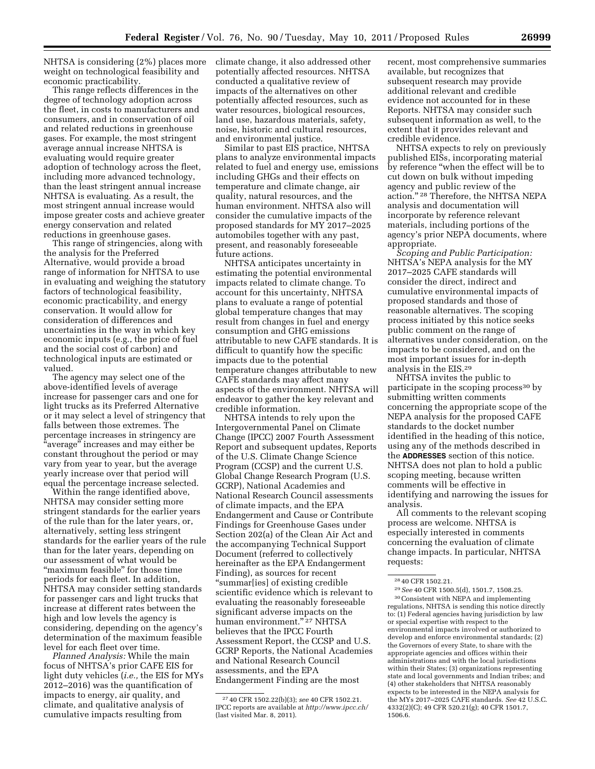NHTSA is considering (2%) places more weight on technological feasibility and economic practicability.

This range reflects differences in the degree of technology adoption across the fleet, in costs to manufacturers and consumers, and in conservation of oil and related reductions in greenhouse gases. For example, the most stringent average annual increase NHTSA is evaluating would require greater adoption of technology across the fleet, including more advanced technology, than the least stringent annual increase NHTSA is evaluating. As a result, the most stringent annual increase would impose greater costs and achieve greater energy conservation and related reductions in greenhouse gases.

This range of stringencies, along with the analysis for the Preferred Alternative, would provide a broad range of information for NHTSA to use in evaluating and weighing the statutory factors of technological feasibility, economic practicability, and energy conservation. It would allow for consideration of differences and uncertainties in the way in which key economic inputs (e.g., the price of fuel and the social cost of carbon) and technological inputs are estimated or valued.

The agency may select one of the above-identified levels of average increase for passenger cars and one for light trucks as its Preferred Alternative or it may select a level of stringency that falls between those extremes. The percentage increases in stringency are "average" increases and may either be constant throughout the period or may vary from year to year, but the average yearly increase over that period will equal the percentage increase selected.

Within the range identified above, NHTSA may consider setting more stringent standards for the earlier years of the rule than for the later years, or, alternatively, setting less stringent standards for the earlier years of the rule than for the later years, depending on our assessment of what would be "maximum feasible" for those time periods for each fleet. In addition, NHTSA may consider setting standards for passenger cars and light trucks that increase at different rates between the high and low levels the agency is considering, depending on the agency's determination of the maximum feasible level for each fleet over time.

*Planned Analysis:* While the main focus of NHTSA's prior CAFE EIS for light duty vehicles (*i.e.,* the EIS for MYs 2012–2016) was the quantification of impacts to energy, air quality, and climate, and qualitative analysis of cumulative impacts resulting from

climate change, it also addressed other potentially affected resources. NHTSA conducted a qualitative review of impacts of the alternatives on other potentially affected resources, such as water resources, biological resources, land use, hazardous materials, safety, noise, historic and cultural resources, and environmental justice.

Similar to past EIS practice, NHTSA plans to analyze environmental impacts related to fuel and energy use, emissions including GHGs and their effects on temperature and climate change, air quality, natural resources, and the human environment. NHTSA also will consider the cumulative impacts of the proposed standards for MY 2017–2025 automobiles together with any past, present, and reasonably foreseeable future actions.

NHTSA anticipates uncertainty in estimating the potential environmental impacts related to climate change. To account for this uncertainty, NHTSA plans to evaluate a range of potential global temperature changes that may result from changes in fuel and energy consumption and GHG emissions attributable to new CAFE standards. It is difficult to quantify how the specific impacts due to the potential temperature changes attributable to new CAFE standards may affect many aspects of the environment. NHTSA will endeavor to gather the key relevant and credible information.

NHTSA intends to rely upon the Intergovernmental Panel on Climate Change (IPCC) 2007 Fourth Assessment Report and subsequent updates, Reports of the U.S. Climate Change Science Program (CCSP) and the current U.S. Global Change Research Program (U.S. GCRP), National Academies and National Research Council assessments of climate impacts, and the EPA Endangerment and Cause or Contribute Findings for Greenhouse Gases under Section 202(a) of the Clean Air Act and the accompanying Technical Support Document (referred to collectively hereinafter as the EPA Endangerment Finding), as sources for recent ''summar[ies] of existing credible scientific evidence which is relevant to evaluating the reasonably foreseeable significant adverse impacts on the human environment.'' 27 NHTSA believes that the IPCC Fourth Assessment Report, the CCSP and U.S. GCRP Reports, the National Academies and National Research Council assessments, and the EPA Endangerment Finding are the most

recent, most comprehensive summaries available, but recognizes that subsequent research may provide additional relevant and credible evidence not accounted for in these Reports. NHTSA may consider such subsequent information as well, to the extent that it provides relevant and credible evidence.

NHTSA expects to rely on previously published EISs, incorporating material by reference ''when the effect will be to cut down on bulk without impeding agency and public review of the action.'' 28 Therefore, the NHTSA NEPA analysis and documentation will incorporate by reference relevant materials, including portions of the agency's prior NEPA documents, where appropriate.

*Scoping and Public Participation:*  NHTSA's NEPA analysis for the MY 2017–2025 CAFE standards will consider the direct, indirect and cumulative environmental impacts of proposed standards and those of reasonable alternatives. The scoping process initiated by this notice seeks public comment on the range of alternatives under consideration, on the impacts to be considered, and on the most important issues for in-depth analysis in the EIS.29

NHTSA invites the public to participate in the scoping process<sup>30</sup> by submitting written comments concerning the appropriate scope of the NEPA analysis for the proposed CAFE standards to the docket number identified in the heading of this notice, using any of the methods described in the **ADDRESSES** section of this notice. NHTSA does not plan to hold a public scoping meeting, because written comments will be effective in identifying and narrowing the issues for analysis.

All comments to the relevant scoping process are welcome. NHTSA is especially interested in comments concerning the evaluation of climate change impacts. In particular, NHTSA requests:

29*See* 40 CFR 1500.5(d), 1501.7, 1508.25. 30Consistent with NEPA and implementing regulations, NHTSA is sending this notice directly to: (1) Federal agencies having jurisdiction by law or special expertise with respect to the environmental impacts involved or authorized to develop and enforce environmental standards; (2) the Governors of every State, to share with the appropriate agencies and offices within their administrations and with the local jurisdictions within their States; (3) organizations representing state and local governments and Indian tribes; and (4) other stakeholders that NHTSA reasonably expects to be interested in the NEPA analysis for the MYs 2017–2025 CAFE standards. *See* 42 U.S.C. 4332(2)(C); 49 CFR 520.21(g); 40 CFR 1501.7, 1506.6.

<sup>27</sup> 40 CFR 1502.22(b)(3); *see* 40 CFR 1502.21. IPCC reports are available at *<http://www.ipcc.ch/>* (last visited Mar. 8, 2011).

<sup>28</sup> 40 CFR 1502.21.